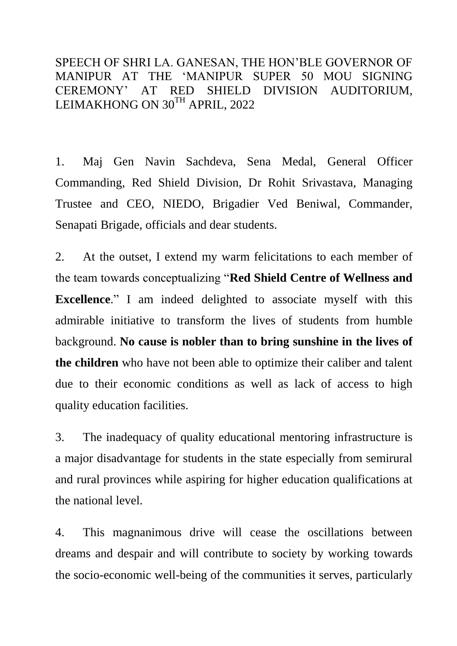SPEECH OF SHRI LA. GANESAN, THE HON"BLE GOVERNOR OF MANIPUR AT THE "MANIPUR SUPER 50 MOU SIGNING CEREMONY" AT RED SHIELD DIVISION AUDITORIUM, LEIMAKHONG ON 30TH APRIL, 2022

1. Maj Gen Navin Sachdeva, Sena Medal, General Officer Commanding, Red Shield Division, Dr Rohit Srivastava, Managing Trustee and CEO, NIEDO, Brigadier Ved Beniwal, Commander, Senapati Brigade, officials and dear students.

2. At the outset, I extend my warm felicitations to each member of the team towards conceptualizing "**Red Shield Centre of Wellness and Excellence**." I am indeed delighted to associate myself with this admirable initiative to transform the lives of students from humble background. **No cause is nobler than to bring sunshine in the lives of the children** who have not been able to optimize their caliber and talent due to their economic conditions as well as lack of access to high quality education facilities.

3. The inadequacy of quality educational mentoring infrastructure is a major disadvantage for students in the state especially from semirural and rural provinces while aspiring for higher education qualifications at the national level.

4. This magnanimous drive will cease the oscillations between dreams and despair and will contribute to society by working towards the socio-economic well-being of the communities it serves, particularly